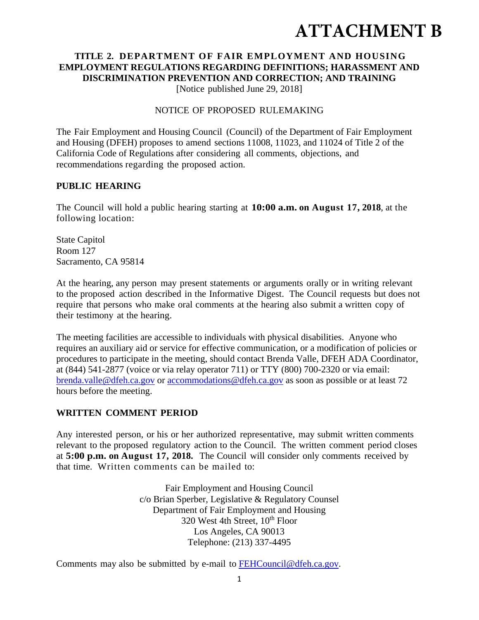# **ATTACHMENT B**

# **TITLE 2. DEPARTMENT OF FAIR EMPLOYMENT AND HOUSING EMPLOYMENT REGULATIONS REGARDING DEFINITIONS; HARASSMENT AND DISCRIMINATION PREVENTION AND CORRECTION; AND TRAINING**

[Notice published June 29, 2018]

#### NOTICE OF PROPOSED RULEMAKING

The Fair Employment and Housing Council (Council) of the Department of Fair Employment and Housing (DFEH) proposes to amend sections 11008, 11023, and 11024 of Title 2 of the California Code of Regulations after considering all comments, objections, and recommendations regarding the proposed action.

#### **PUBLIC HEARING**

The Council will hold a public hearing starting at **10:00 a.m. on August 17, 2018**, at the following location:

State Capitol Room 127 Sacramento, CA 95814

At the hearing, any person may present statements or arguments orally or in writing relevant to the proposed action described in the Informative Digest. The Council requests but does not require that persons who make oral comments at the hearing also submit a written copy of their testimony at the hearing.

The meeting facilities are accessible to individuals with physical disabilities. Anyone who requires an auxiliary aid or service for effective communication, or a modification of policies or procedures to participate in the meeting, should contact Brenda Valle, DFEH ADA Coordinator, at (844) 541-2877 (voice or via relay operator 711) or TTY (800) 700-2320 or via email: brenda.valle@dfeh.ca.gov or accommodations@dfeh.ca.gov as soon as possible or at least 72 hours before the meeting.

# **WRITTEN COMMENT PERIOD**

Any interested person, or his or her authorized representative, may submit written comments relevant to the proposed regulatory action to the Council. The written comment period closes at **5:00 p.m. on August 17, 2018.** The Council will consider only comments received by that time. Written comments can be mailed to:

> Fair Employment and Housing Council c/o Brian Sperber, Legislative & Regulatory Counsel Department of Fair Employment and Housing 320 West 4th Street, 10<sup>th</sup> Floor Los Angeles, CA 90013 Telephone: (213) 337-4495

Comments may also be submitted by e-mail to **FEHCouncil@dfeh.ca.gov.**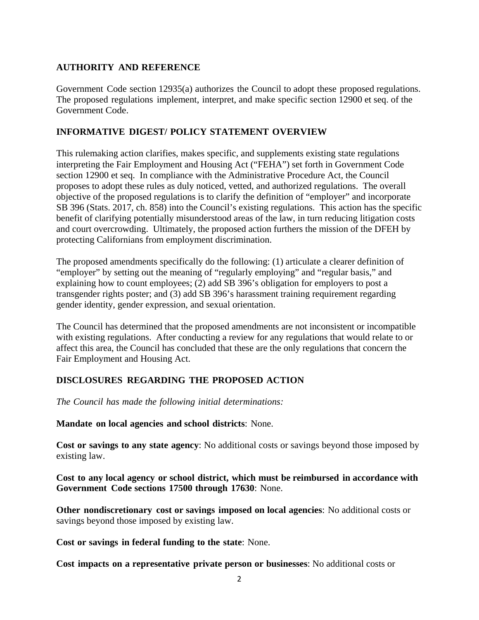#### **AUTHORITY AND REFERENCE**

Government Code section 12935(a) authorizes the Council to adopt these proposed regulations. The proposed regulations implement, interpret, and make specific section 12900 et seq. of the Government Code.

#### **INFORMATIVE DIGEST/ POLICY STATEMENT OVERVIEW**

This rulemaking action clarifies, makes specific, and supplements existing state regulations interpreting the Fair Employment and Housing Act ("FEHA") set forth in Government Code section 12900 et seq. In compliance with the Administrative Procedure Act, the Council proposes to adopt these rules as duly noticed, vetted, and authorized regulations. The overall objective of the proposed regulations is to clarify the definition of "employer" and incorporate SB 396 (Stats. 2017, ch. 858) into the Council's existing regulations. This action has the specific benefit of clarifying potentially misunderstood areas of the law, in turn reducing litigation costs and court overcrowding. Ultimately, the proposed action furthers the mission of the DFEH by protecting Californians from employment discrimination.

The proposed amendments specifically do the following: (1) articulate a clearer definition of "employer" by setting out the meaning of "regularly employing" and "regular basis," and explaining how to count employees; (2) add SB 396's obligation for employers to post a transgender rights poster; and (3) add SB 396's harassment training requirement regarding gender identity, gender expression, and sexual orientation.

The Council has determined that the proposed amendments are not inconsistent or incompatible with existing regulations. After conducting a review for any regulations that would relate to or affect this area, the Council has concluded that these are the only regulations that concern the Fair Employment and Housing Act.

#### **DISCLOSURES REGARDING THE PROPOSED ACTION**

*The Council has made the following initial determinations:* 

**Mandate on local agencies and school districts**: None.

**Cost or savings to any state agency**: No additional costs or savings beyond those imposed by existing law.

**Cost to any local agency or school district, which must be reimbursed in accordance with Government Code sections 17500 through 17630**: None.

**Other nondiscretionary cost or savings imposed on local agencies**: No additional costs or savings beyond those imposed by existing law.

**Cost or savings in federal funding to the state**: None.

**Cost impacts on a representative private person or businesses**: No additional costs or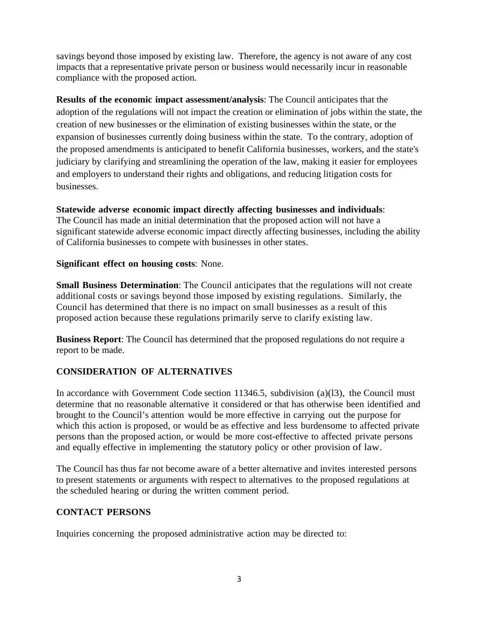savings beyond those imposed by existing law. Therefore, the agency is not aware of any cost impacts that a representative private person or business would necessarily incur in reasonable compliance with the proposed action.

**Results of the economic impact assessment/analysis**: The Council anticipates that the adoption of the regulations will not impact the creation or elimination of jobs within the state, the creation of new businesses or the elimination of existing businesses within the state, or the expansion of businesses currently doing business within the state. To the contrary, adoption of the proposed amendments is anticipated to benefit California businesses, workers, and the state's judiciary by clarifying and streamlining the operation of the law, making it easier for employees and employers to understand their rights and obligations, and reducing litigation costs for businesses.

## **Statewide adverse economic impact directly affecting businesses and individuals**:

The Council has made an initial determination that the proposed action will not have a significant statewide adverse economic impact directly affecting businesses, including the ability of California businesses to compete with businesses in other states.

#### **Significant effect on housing costs**: None.

**Small Business Determination**: The Council anticipates that the regulations will not create additional costs or savings beyond those imposed by existing regulations. Similarly, the Council has determined that there is no impact on small businesses as a result of this proposed action because these regulations primarily serve to clarify existing law.

**Business Report**: The Council has determined that the proposed regulations do not require a report to be made.

# **CONSIDERATION OF ALTERNATIVES**

In accordance with Government Code section 11346.5, subdivision (a)(l3), the Council must determine that no reasonable alternative it considered or that has otherwise been identified and brought to the Council's attention would be more effective in carrying out the purpose for which this action is proposed, or would be as effective and less burdensome to affected private persons than the proposed action, or would be more cost-effective to affected private persons and equally effective in implementing the statutory policy or other provision of law.

The Council has thus far not become aware of a better alternative and invites interested persons to present statements or arguments with respect to alternatives to the proposed regulations at the scheduled hearing or during the written comment period.

# **CONTACT PERSONS**

Inquiries concerning the proposed administrative action may be directed to: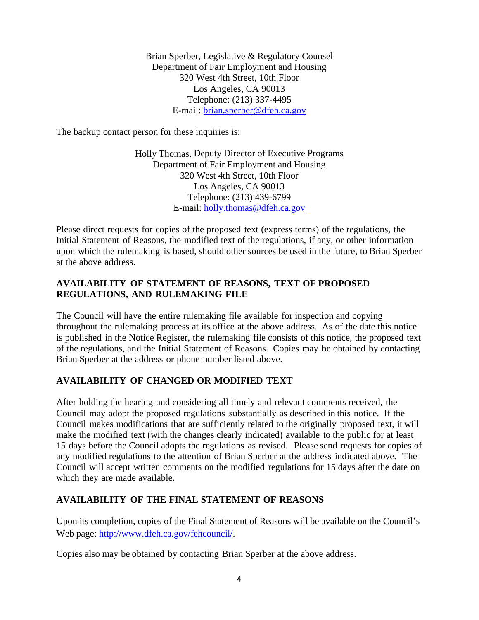Brian Sperber, Legislative & Regulatory Counsel Department of Fair Employment and Housing 320 West 4th Street, 10th Floor Los Angeles, CA 90013 Telephone: (213) 337-4495 E-mail: brian.sperber@dfeh.ca.gov

The backup contact person for these inquiries is:

Holly Thomas, Deputy Director of Executive Programs Department of Fair Employment and Housing 320 West 4th Street, 10th Floor Los Angeles, CA 90013 Telephone: (213) 439-6799 E-mail: holly.thomas@dfeh.ca.gov

Please direct requests for copies of the proposed text (express terms) of the regulations, the Initial Statement of Reasons, the modified text of the regulations, if any, or other information upon which the rulemaking is based, should other sources be used in the future, to Brian Sperber at the above address.

### **AVAILABILITY OF STATEMENT OF REASONS, TEXT OF PROPOSED REGULATIONS, AND RULEMAKING FILE**

The Council will have the entire rulemaking file available for inspection and copying throughout the rulemaking process at its office at the above address. As of the date this notice is published in the Notice Register, the rulemaking file consists of this notice, the proposed text of the regulations, and the Initial Statement of Reasons. Copies may be obtained by contacting Brian Sperber at the address or phone number listed above.

# **AVAILABILITY OF CHANGED OR MODIFIED TEXT**

After holding the hearing and considering all timely and relevant comments received, the Council may adopt the proposed regulations substantially as described in this notice. If the Council makes modifications that are sufficiently related to the originally proposed text, it will make the modified text (with the changes clearly indicated) available to the public for at least 15 days before the Council adopts the regulations as revised. Please send requests for copies of any modified regulations to the attention of Brian Sperber at the address indicated above. The Council will accept written comments on the modified regulations for 15 days after the date on which they are made available.

# **AVAILABILITY OF THE FINAL STATEMENT OF REASONS**

Upon its completion, copies of the Final Statement of Reasons will be available on the Council's Web page: http://www.dfeh.ca.gov/fehcouncil/.

Copies also may be obtained by contacting Brian Sperber at the above address.